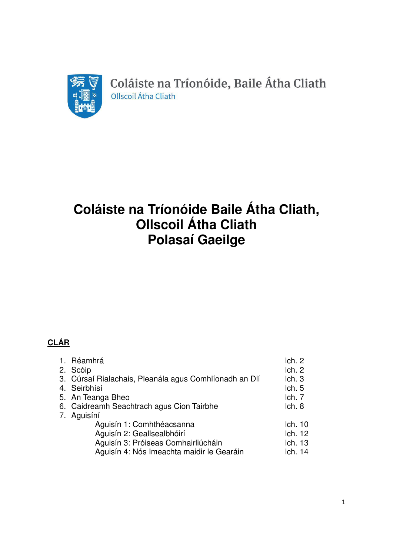

Coláiste na Tríonóide, Baile Átha Cliath Ollscoil Átha Cliath

# **Coláiste na Tríonóide Baile Átha Cliath, Ollscoil Átha Cliath Polasaí Gaeilge**

# **CLÁR**

|  | 1. Réamhrá                                             | Ich. 2  |
|--|--------------------------------------------------------|---------|
|  | 2. Scóip                                               | Ich. 2  |
|  | 3. Cúrsaí Rialachais, Pleanála agus Comhlíonadh an Dlí | lch.3   |
|  | 4. Seirbhísí                                           | lch.5   |
|  | 5. An Teanga Bheo                                      | lch. 7  |
|  | 6. Caidreamh Seachtrach agus Cion Tairbhe              | lch.8   |
|  | 7. Aguisíní                                            |         |
|  | Aguisín 1: Comhthéacsanna                              | lch. 10 |
|  | Aguisín 2: Geallsealbhóirí                             | Ich. 12 |
|  | Aguisín 3: Próiseas Comhairliúcháin                    | Ich. 13 |
|  | Aguisín 4: Nós Imeachta maidir le Gearáin              | lch. 14 |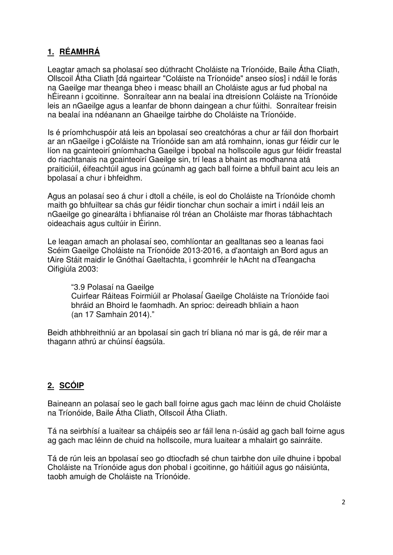# **1. RÉAMHRÁ**

Leagtar amach sa pholasaí seo dúthracht Choláiste na Tríonóide, Baile Átha Cliath, Ollscoil Átha Cliath [dá ngairtear "Coláiste na Tríonóide" anseo síos] i ndáil le forás na Gaeilge mar theanga bheo i measc bhaill an Choláiste agus ar fud phobal na hÉireann i gcoitinne. Sonraítear ann na bealaí ina dtreisíonn Coláiste na Tríonóide leis an nGaeilge agus a leanfar de bhonn daingean a chur fúithi. Sonraítear freisin na bealaí ina ndéanann an Ghaeilge tairbhe do Choláiste na Tríonóide.

Is é príomhchuspóir atá leis an bpolasaí seo creatchóras a chur ar fáil don fhorbairt ar an nGaeilge i gColáiste na Tríonóide san am atá romhainn, ionas gur féidir cur le líon na gcainteoirí gníomhacha Gaeilge i bpobal na hollscoile agus gur féidir freastal do riachtanais na gcainteoirí Gaeilge sin, trí leas a bhaint as modhanna atá praiticiúil, éifeachtúil agus ina gcúnamh ag gach ball foirne a bhfuil baint acu leis an bpolasaí a chur i bhfeidhm.

Agus an polasaí seo á chur i dtoll a chéile, is eol do Choláiste na Tríonóide chomh maith go bhfuiltear sa chás gur féidir tionchar chun sochair a imirt i ndáil leis an nGaeilge go ginearálta i bhfianaise ról tréan an Choláiste mar fhoras tábhachtach oideachais agus cultúir in Éirinn.

Le leagan amach an pholasaí seo, comhlíontar an gealltanas seo a leanas faoi Scéim Gaeilge Choláiste na Tríonóide 2013-2016, a d'aontaigh an Bord agus an tAire Stáit maidir le Gnóthaí Gaeltachta, i gcomhréir le hAcht na dTeangacha Oifigiúla 2003:

"3.9 Polasaí na Gaeilge Cuirfear Ráiteas Foirmiúil ar Pholasaí́ Gaeilge Choláiste na Tríonóide faoi bhráid an Bhoird le faomhadh. An sprioc: deireadh bhliain a haon (an 17 Samhain 2014)."

Beidh athbhreithniú ar an bpolasaí sin gach trí bliana nó mar is gá, de réir mar a thagann athrú ar chúinsí éagsúla.

# **2. SCÓIP**

Baineann an polasaí seo le gach ball foirne agus gach mac léinn de chuid Choláiste na Tríonóide, Baile Átha Cliath, Ollscoil Átha Cliath.

Tá na seirbhísí a luaitear sa cháipéis seo ar fáil lena n-úsáid ag gach ball foirne agus ag gach mac léinn de chuid na hollscoile, mura luaitear a mhalairt go sainráite.

Tá de rún leis an bpolasaí seo go dtiocfadh sé chun tairbhe don uile dhuine i bpobal Choláiste na Tríonóide agus don phobal i gcoitinne, go háitiúil agus go náisiúnta, taobh amuigh de Choláiste na Tríonóide.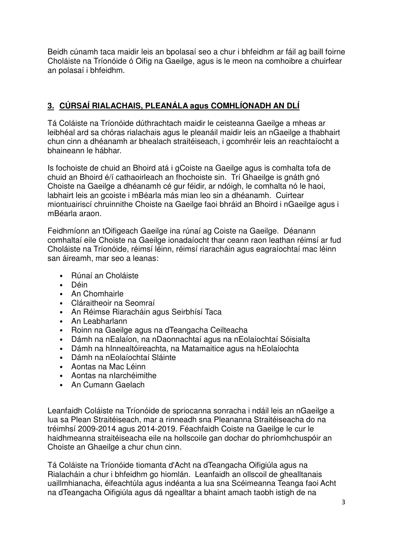Beidh cúnamh taca maidir leis an bpolasaí seo a chur i bhfeidhm ar fáil ag baill foirne Choláiste na Tríonóide ó Oifig na Gaeilge, agus is le meon na comhoibre a chuirfear an polasaí i bhfeidhm.

## **3. CÚRSAÍ RIALACHAIS, PLEANÁLA agus COMHLÍONADH AN DLÍ**

Tá Coláiste na Tríonóide dúthrachtach maidir le ceisteanna Gaeilge a mheas ar leibhéal ard sa chóras rialachais agus le pleanáil maidir leis an nGaeilge a thabhairt chun cinn a dhéanamh ar bhealach straitéiseach, i gcomhréir leis an reachtaíocht a bhaineann le hábhar.

Is fochoiste de chuid an Bhoird atá i gCoiste na Gaeilge agus is comhalta tofa de chuid an Bhoird é/í cathaoirleach an fhochoiste sin. Trí Ghaeilge is gnáth gnó Choiste na Gaeilge a dhéanamh cé gur féidir, ar ndóigh, le comhalta nó le haoi, labhairt leis an gcoiste i mBéarla más mian leo sin a dhéanamh. Cuirtear miontuairiscí chruinnithe Choiste na Gaeilge faoi bhráid an Bhoird i nGaeilge agus i mBéarla araon.

Feidhmíonn an tOifigeach Gaeilge ina rúnaí ag Coiste na Gaeilge. Déanann comhaltaí eile Choiste na Gaeilge ionadaíocht thar ceann raon leathan réimsí ar fud Choláiste na Tríonóide, réimsí léinn, réimsí riaracháin agus eagraíochtaí mac léinn san áireamh, mar seo a leanas:

- Rúnaí an Choláiste
- Déin
- An Chomhairle
- Cláraitheoir na Seomraí
- An Réimse Riaracháin agus Seirbhísí Taca
- An Leabharlann
- Roinn na Gaeilge agus na dTeangacha Ceilteacha
- Dámh na nEalaíon, na nDaonnachtaí agus na nEolaíochtaí Sóisialta
- Dámh na hInnealtóireachta, na Matamaitice agus na hEolaíochta
- Dámh na nEolaíochtaí Sláinte
- Aontas na Mac Léinn
- Aontas na nIarchéimithe
- An Cumann Gaelach

Leanfaidh Coláiste na Tríonóide de spriocanna sonracha i ndáil leis an nGaeilge a lua sa Plean Straitéiseach, mar a rinneadh sna Pleananna Straitéiseacha do na tréimhsí 2009-2014 agus 2014-2019. Féachfaidh Coiste na Gaeilge le cur le haidhmeanna straitéiseacha eile na hollscoile gan dochar do phríomhchuspóir an Choiste an Ghaeilge a chur chun cinn.

Tá Coláiste na Tríonóide tiomanta d'Acht na dTeangacha Oifigiúla agus na Rialacháin a chur i bhfeidhm go hiomlán. Leanfaidh an ollscoil de ghealltanais uaillmhianacha, éifeachtúla agus indéanta a lua sna Scéimeanna Teanga faoi Acht na dTeangacha Oifigiúla agus dá ngealltar a bhaint amach taobh istigh de na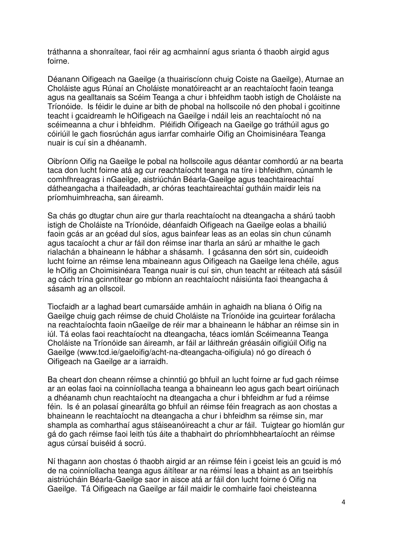tráthanna a shonraítear, faoi réir ag acmhainní agus srianta ó thaobh airgid agus foirne.

Déanann Oifigeach na Gaeilge (a thuairiscíonn chuig Coiste na Gaeilge), Aturnae an Choláiste agus Rúnaí an Choláiste monatóireacht ar an reachtaíocht faoin teanga agus na gealltanais sa Scéim Teanga a chur i bhfeidhm taobh istigh de Choláiste na Tríonóide. Is féidir le duine ar bith de phobal na hollscoile nó den phobal i gcoitinne teacht i gcaidreamh le hOifigeach na Gaeilge i ndáil leis an reachtaíocht nó na scéimeanna a chur i bhfeidhm. Pléifidh Oifigeach na Gaeilge go tráthúil agus go cóiriúil le gach fiosrúchán agus iarrfar comhairle Oifig an Choimisinéara Teanga nuair is cuí sin a dhéanamh.

Oibríonn Oifig na Gaeilge le pobal na hollscoile agus déantar comhordú ar na bearta taca don lucht foirne atá ag cur reachtaíocht teanga na tíre i bhfeidhm, cúnamh le comhfhreagras i nGaeilge, aistriúchán Béarla-Gaeilge agus teachtaireachtaí dátheangacha a thaifeadadh, ar chóras teachtaireachtaí gutháin maidir leis na príomhuimhreacha, san áireamh.

Sa chás go dtugtar chun aire gur tharla reachtaíocht na dteangacha a shárú taobh istigh de Choláiste na Tríonóide, déanfaidh Oifigeach na Gaeilge eolas a bhailiú faoin gcás ar an gcéad dul síos, agus bainfear leas as an eolas sin chun cúnamh agus tacaíocht a chur ar fáil don réimse inar tharla an sárú ar mhaithe le gach rialachán a bhaineann le hábhar a shásamh. I gcásanna den sórt sin, cuideoidh lucht foirne an réimse lena mbaineann agus Oifigeach na Gaeilge lena chéile, agus le hOifig an Choimisinéara Teanga nuair is cuí sin, chun teacht ar réiteach atá sásúil ag cách trína gcinntítear go mbíonn an reachtaíocht náisiúnta faoi theangacha á sásamh ag an ollscoil.

Tiocfaidh ar a laghad beart cumarsáide amháin in aghaidh na bliana ó Oifig na Gaeilge chuig gach réimse de chuid Choláiste na Tríonóide ina gcuirtear forálacha na reachtaíochta faoin nGaeilge de réir mar a bhaineann le hábhar an réimse sin in iúl. Tá eolas faoi reachtaíocht na dteangacha, téacs iomlán Scéimeanna Teanga Choláiste na Tríonóide san áireamh, ar fáil ar láithreán gréasáin oifigiúil Oifig na Gaeilge (www.tcd.ie/gaeloifig/acht-na-dteangacha-oifigiula) nó go díreach ó Oifigeach na Gaeilge ar a iarraidh.

Ba cheart don cheann réimse a chinntiú go bhfuil an lucht foirne ar fud gach réimse ar an eolas faoi na coinníollacha teanga a bhaineann leo agus gach beart oiriúnach a dhéanamh chun reachtaíocht na dteangacha a chur i bhfeidhm ar fud a réimse féin. Is é an polasaí ginearálta go bhfuil an réimse féin freagrach as aon chostas a bhaineann le reachtaíocht na dteangacha a chur i bhfeidhm sa réimse sin, mar shampla as comharthaí agus stáiseanóireacht a chur ar fáil. Tuigtear go hiomlán gur gá do gach réimse faoi leith tús áite a thabhairt do phríomhbheartaíocht an réimse agus cúrsaí buiséid á socrú.

Ní thagann aon chostas ó thaobh airgid ar an réimse féin i gceist leis an gcuid is mó de na coinníollacha teanga agus áitítear ar na réimsí leas a bhaint as an tseirbhís aistriúcháin Béarla-Gaeilge saor in aisce atá ar fáil don lucht foirne ó Oifig na Gaeilge. Tá Oifigeach na Gaeilge ar fáil maidir le comhairle faoi cheisteanna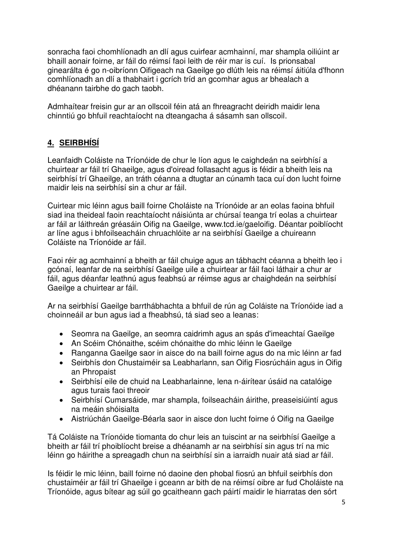sonracha faoi chomhlíonadh an dlí agus cuirfear acmhainní, mar shampla oiliúint ar bhaill aonair foirne, ar fáil do réimsí faoi leith de réir mar is cuí. Is prionsabal ginearálta é go n-oibríonn Oifigeach na Gaeilge go dlúth leis na réimsí áitiúla d'fhonn comhlíonadh an dlí a thabhairt i gcrích tríd an gcomhar agus ar bhealach a dhéanann tairbhe do gach taobh.

Admhaítear freisin gur ar an ollscoil féin atá an fhreagracht deiridh maidir lena chinntiú go bhfuil reachtaíocht na dteangacha á sásamh san ollscoil.

# **4. SEIRBHÍSÍ**

Leanfaidh Coláiste na Tríonóide de chur le líon agus le caighdeán na seirbhísí a chuirtear ar fáil trí Ghaeilge, agus d'oiread follasacht agus is féidir a bheith leis na seirbhísí trí Ghaeilge, an tráth céanna a dtugtar an cúnamh taca cuí don lucht foirne maidir leis na seirbhísí sin a chur ar fáil.

Cuirtear mic léinn agus baill foirne Choláiste na Tríonóide ar an eolas faoina bhfuil siad ina theideal faoin reachtaíocht náisiúnta ar chúrsaí teanga trí eolas a chuirtear ar fáil ar láithreán gréasáin Oifig na Gaeilge, www.tcd.ie/gaeloifig. Déantar poiblíocht ar líne agus i bhfoilseacháin chruachlóite ar na seirbhísí Gaeilge a chuireann Coláiste na Tríonóide ar fáil.

Faoi réir ag acmhainní a bheith ar fáil chuige agus an tábhacht céanna a bheith leo i gcónaí, leanfar de na seirbhísí Gaeilge uile a chuirtear ar fáil faoi láthair a chur ar fáil, agus déanfar leathnú agus feabhsú ar réimse agus ar chaighdeán na seirbhísí Gaeilge a chuirtear ar fáil.

Ar na seirbhísí Gaeilge barrthábhachta a bhfuil de rún ag Coláiste na Tríonóide iad a choinneáil ar bun agus iad a fheabhsú, tá siad seo a leanas:

- Seomra na Gaeilge, an seomra caidrimh agus an spás d'imeachtaí Gaeilge
- An Scéim Chónaithe, scéim chónaithe do mhic léinn le Gaeilge
- Ranganna Gaeilge saor in aisce do na baill foirne agus do na mic léinn ar fad
- Seirbhís don Chustaiméir sa Leabharlann, san Oifig Fiosrúcháin agus in Oifig an Phropaist
- Seirbhísí eile de chuid na Leabharlainne, lena n-áirítear úsáid na catalóige agus turais faoi threoir
- Seirbhísí Cumarsáide, mar shampla, foilseacháin áirithe, preaseisiúintí agus na meáin shóisialta
- Aistriúchán Gaeilge-Béarla saor in aisce don lucht foirne ó Oifig na Gaeilge

Tá Coláiste na Tríonóide tiomanta do chur leis an tuiscint ar na seirbhísí Gaeilge a bheith ar fáil trí phoiblíocht breise a dhéanamh ar na seirbhísí sin agus trí na mic léinn go háirithe a spreagadh chun na seirbhísí sin a iarraidh nuair atá siad ar fáil.

Is féidir le mic léinn, baill foirne nó daoine den phobal fiosrú an bhfuil seirbhís don chustaiméir ar fáil trí Ghaeilge i gceann ar bith de na réimsí oibre ar fud Choláiste na Tríonóide, agus bítear ag súil go gcaitheann gach páirtí maidir le hiarratas den sórt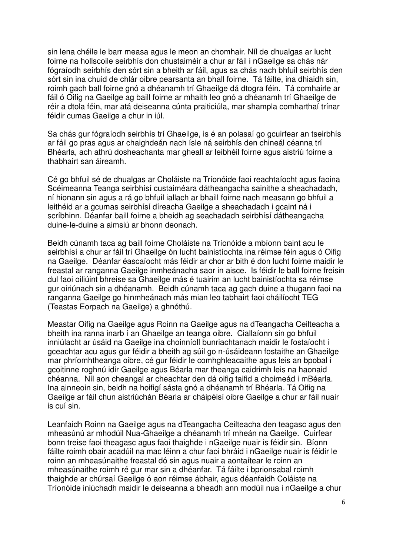sin lena chéile le barr measa agus le meon an chomhair. Níl de dhualgas ar lucht foirne na hollscoile seirbhís don chustaiméir a chur ar fáil i nGaeilge sa chás nár fógraíodh seirbhís den sórt sin a bheith ar fáil, agus sa chás nach bhfuil seirbhís den sórt sin ina chuid de chlár oibre pearsanta an bhall foirne. Tá fáilte, ina dhiaidh sin, roimh gach ball foirne gnó a dhéanamh trí Ghaeilge dá dtogra féin. Tá comhairle ar fáil ó Oifig na Gaeilge ag baill foirne ar mhaith leo gnó a dhéanamh trí Ghaeilge de réir a dtola féin, mar atá deiseanna cúnta praiticiúla, mar shampla comharthaí trínar féidir cumas Gaeilge a chur in iúl.

Sa chás gur fógraíodh seirbhís trí Ghaeilge, is é an polasaí go gcuirfear an tseirbhís ar fáil go pras agus ar chaighdeán nach ísle ná seirbhís den chineál céanna trí Bhéarla, ach athrú dosheachanta mar gheall ar leibhéil foirne agus aistriú foirne a thabhairt san áireamh.

Cé go bhfuil sé de dhualgas ar Choláiste na Tríonóide faoi reachtaíocht agus faoina Scéimeanna Teanga seirbhísí custaiméara dátheangacha sainithe a sheachadadh, ní hionann sin agus a rá go bhfuil iallach ar bhaill foirne nach measann go bhfuil a leithéid ar a gcumas seirbhísí díreacha Gaeilge a sheachadadh i gcaint ná i scríbhinn. Déanfar baill foirne a bheidh ag seachadadh seirbhísí dátheangacha duine-le-duine a aimsiú ar bhonn deonach.

Beidh cúnamh taca ag baill foirne Choláiste na Tríonóide a mbíonn baint acu le seirbhísí a chur ar fáil trí Ghaeilge ón lucht bainistíochta ina réimse féin agus ó Oifig na Gaeilge. Déanfar éascaíocht más féidir ar chor ar bith é don lucht foirne maidir le freastal ar ranganna Gaeilge inmheánacha saor in aisce. Is féidir le ball foirne freisin dul faoi oiliúint bhreise sa Ghaeilge más é tuairim an lucht bainistíochta sa réimse gur oiriúnach sin a dhéanamh. Beidh cúnamh taca ag gach duine a thugann faoi na ranganna Gaeilge go hinmheánach más mian leo tabhairt faoi cháilíocht TEG (Teastas Eorpach na Gaeilge) a ghnóthú.

Meastar Oifig na Gaeilge agus Roinn na Gaeilge agus na dTeangacha Ceilteacha a bheith ina ranna inarb í an Ghaeilge an teanga oibre. Ciallaíonn sin go bhfuil inniúlacht ar úsáid na Gaeilge ina choinníoll bunriachtanach maidir le fostaíocht i gceachtar acu agus gur féidir a bheith ag súil go n-úsáideann fostaithe an Ghaeilge mar phríomhtheanga oibre, cé gur féidir le comhghleacaithe agus leis an bpobal i gcoitinne roghnú idir Gaeilge agus Béarla mar theanga caidrimh leis na haonaid chéanna. Níl aon cheangal ar cheachtar den dá oifig taifid a choimeád i mBéarla. Ina ainneoin sin, beidh na hoifigí sásta gnó a dhéanamh trí Bhéarla. Tá Oifig na Gaeilge ar fáil chun aistriúchán Béarla ar cháipéisí oibre Gaeilge a chur ar fáil nuair is cuí sin.

Leanfaidh Roinn na Gaeilge agus na dTeangacha Ceilteacha den teagasc agus den mheasúnú ar mhodúil Nua-Ghaeilge a dhéanamh trí mheán na Gaeilge. Cuirfear bonn treise faoi theagasc agus faoi thaighde i nGaeilge nuair is féidir sin. Bíonn fáilte roimh obair acadúil na mac léinn a chur faoi bhráid i nGaeilge nuair is féidir le roinn an mheasúnaithe freastal dó sin agus nuair a aontaítear le roinn an mheasúnaithe roimh ré gur mar sin a dhéanfar. Tá fáilte i bprionsabal roimh thaighde ar chúrsaí Gaeilge ó aon réimse ábhair, agus déanfaidh Coláiste na Tríonóide iniúchadh maidir le deiseanna a bheadh ann modúil nua i nGaeilge a chur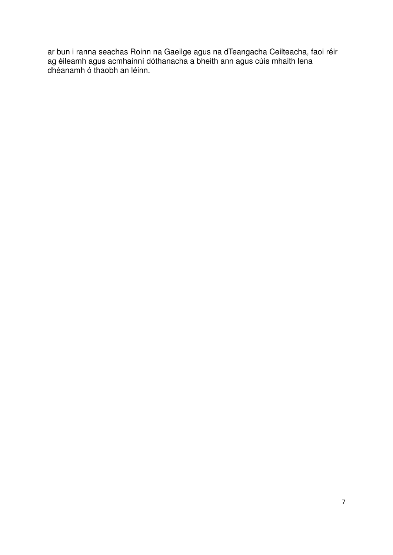ar bun i ranna seachas Roinn na Gaeilge agus na dTeangacha Ceilteacha, faoi réir ag éileamh agus acmhainní dóthanacha a bheith ann agus cúis mhaith lena dhéanamh ó thaobh an léinn.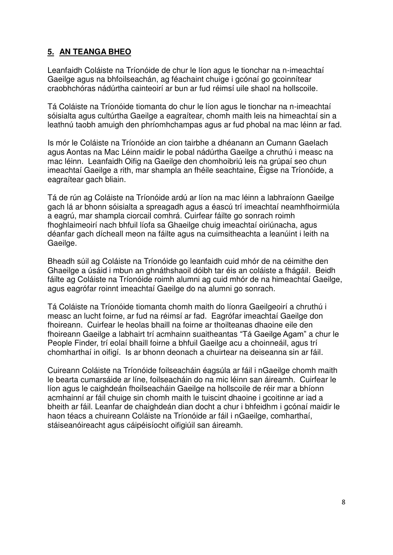#### **5. AN TEANGA BHEO**

Leanfaidh Coláiste na Tríonóide de chur le líon agus le tionchar na n-imeachtaí Gaeilge agus na bhfoilseachán, ag féachaint chuige i gcónaí go gcoinnítear craobhchóras nádúrtha cainteoirí ar bun ar fud réimsí uile shaol na hollscoile.

Tá Coláiste na Tríonóide tiomanta do chur le líon agus le tionchar na n-imeachtaí sóisialta agus cultúrtha Gaeilge a eagraítear, chomh maith leis na himeachtaí sin a leathnú taobh amuigh den phríomhchampas agus ar fud phobal na mac léinn ar fad.

Is mór le Coláiste na Tríonóide an cion tairbhe a dhéanann an Cumann Gaelach agus Aontas na Mac Léinn maidir le pobal nádúrtha Gaeilge a chruthú i measc na mac léinn. Leanfaidh Oifig na Gaeilge den chomhoibriú leis na grúpaí seo chun imeachtaí Gaeilge a rith, mar shampla an fhéile seachtaine, Éigse na Tríonóide, a eagraítear gach bliain.

Tá de rún ag Coláiste na Tríonóide ardú ar líon na mac léinn a labhraíonn Gaeilge gach lá ar bhonn sóisialta a spreagadh agus a éascú trí imeachtaí neamhfhoirmiúla a eagrú, mar shampla ciorcail comhrá. Cuirfear fáilte go sonrach roimh fhoghlaimeoirí nach bhfuil líofa sa Ghaeilge chuig imeachtaí oiriúnacha, agus déanfar gach dícheall meon na fáilte agus na cuimsitheachta a leanúint i leith na Gaeilge.

Bheadh súil ag Coláiste na Tríonóide go leanfaidh cuid mhór de na céimithe den Ghaeilge a úsáid i mbun an ghnáthshaoil dóibh tar éis an coláiste a fhágáil. Beidh fáilte ag Coláiste na Tríonóide roimh alumni ag cuid mhór de na himeachtaí Gaeilge, agus eagrófar roinnt imeachtaí Gaeilge do na alumni go sonrach.

Tá Coláiste na Tríonóide tiomanta chomh maith do líonra Gaeilgeoirí a chruthú i measc an lucht foirne, ar fud na réimsí ar fad. Eagrófar imeachtaí Gaeilge don fhoireann. Cuirfear le heolas bhaill na foirne ar thoilteanas dhaoine eile den fhoireann Gaeilge a labhairt trí acmhainn suaitheantas "Tá Gaeilge Agam" a chur le People Finder, trí eolaí bhaill foirne a bhfuil Gaeilge acu a choinneáil, agus trí chomharthaí in oifigí. Is ar bhonn deonach a chuirtear na deiseanna sin ar fáil.

Cuireann Coláiste na Tríonóide foilseacháin éagsúla ar fáil i nGaeilge chomh maith le bearta cumarsáide ar líne, foilseacháin do na mic léinn san áireamh. Cuirfear le líon agus le caighdeán fhoilseacháin Gaeilge na hollscoile de réir mar a bhíonn acmhainní ar fáil chuige sin chomh maith le tuiscint dhaoine i gcoitinne ar iad a bheith ar fáil. Leanfar de chaighdeán dian docht a chur i bhfeidhm i gcónaí maidir le haon téacs a chuireann Coláiste na Tríonóide ar fáil i nGaeilge, comharthaí, stáiseanóireacht agus cáipéisíocht oifigiúil san áireamh.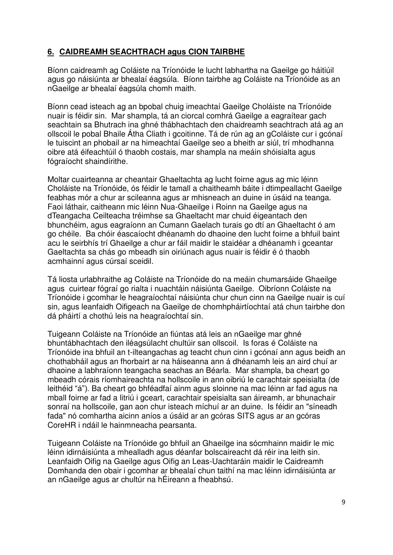#### **6. CAIDREAMH SEACHTRACH agus CION TAIRBHE**

Bíonn caidreamh ag Coláiste na Tríonóide le lucht labhartha na Gaeilge go háitiúil agus go náisiúnta ar bhealaí éagsúla. Bíonn tairbhe ag Coláiste na Tríonóide as an nGaeilge ar bhealaí éagsúla chomh maith.

Bíonn cead isteach ag an bpobal chuig imeachtaí Gaeilge Choláiste na Tríonóide nuair is féidir sin. Mar shampla, tá an ciorcal comhrá Gaeilge a eagraítear gach seachtain sa Bhutrach ina ghné thábhachtach den chaidreamh seachtrach atá ag an ollscoil le pobal Bhaile Átha Cliath i gcoitinne. Tá de rún ag an gColáiste cur i gcónaí le tuiscint an phobail ar na himeachtaí Gaeilge seo a bheith ar siúl, trí mhodhanna oibre atá éifeachtúil ó thaobh costais, mar shampla na meáin shóisialta agus fógraíocht shaindírithe.

Moltar cuairteanna ar cheantair Ghaeltachta ag lucht foirne agus ag mic léinn Choláiste na Tríonóide, ós féidir le tamall a chaitheamh báite i dtimpeallacht Gaeilge feabhas mór a chur ar scileanna agus ar mhisneach an duine in úsáid na teanga. Faoi láthair, caitheann mic léinn Nua-Ghaeilge i Roinn na Gaeilge agus na dTeangacha Ceilteacha tréimhse sa Ghaeltacht mar chuid éigeantach den bhunchéim, agus eagraíonn an Cumann Gaelach turais go dtí an Ghaeltacht ó am go chéile. Ba chóir éascaíocht dhéanamh do dhaoine den lucht foirne a bhfuil baint acu le seirbhís trí Ghaeilge a chur ar fáil maidir le staidéar a dhéanamh i gceantar Gaeltachta sa chás go mbeadh sin oiriúnach agus nuair is féidir é ó thaobh acmhainní agus cúrsaí sceidil.

Tá liosta urlabhraithe ag Coláiste na Tríonóide do na meáin chumarsáide Ghaeilge agus cuirtear fógraí go rialta i nuachtáin náisiúnta Gaeilge. Oibríonn Coláiste na Tríonóide i gcomhar le heagraíochtaí náisiúnta chur chun cinn na Gaeilge nuair is cuí sin, agus leanfaidh Oifigeach na Gaeilge de chomhpháirtíochtaí atá chun tairbhe don dá pháirtí a chothú leis na heagraíochtaí sin.

Tuigeann Coláiste na Tríonóide an fiúntas atá leis an nGaeilge mar ghné bhuntábhachtach den iléagsúlacht chultúir san ollscoil. Is foras é Coláiste na Tríonóide ina bhfuil an t-ilteangachas ag teacht chun cinn i gcónaí ann agus beidh an chothabháil agus an fhorbairt ar na háiseanna ann á dhéanamh leis an aird chuí ar dhaoine a labhraíonn teangacha seachas an Béarla. Mar shampla, ba cheart go mbeadh córais ríomhaireachta na hollscoile in ann oibriú le carachtair speisialta (de leithéid "á"). Ba cheart go bhféadfaí ainm agus sloinne na mac léinn ar fad agus na mball foirne ar fad a litriú i gceart, carachtair speisialta san áireamh, ar bhunachair sonraí na hollscoile, gan aon chur isteach míchuí ar an duine. Is féidir an "síneadh fada" nó comhartha aicinn aníos a úsáid ar an gcóras SITS agus ar an gcóras CoreHR i ndáil le hainmneacha pearsanta.

Tuigeann Coláiste na Tríonóide go bhfuil an Ghaeilge ina sócmhainn maidir le mic léinn idirnáisiúnta a mhealladh agus déanfar bolscaireacht dá réir ina leith sin. Leanfaidh Oifig na Gaeilge agus Oifig an Leas-Uachtaráin maidir le Caidreamh Domhanda den obair i gcomhar ar bhealaí chun taithí na mac léinn idirnáisiúnta ar an nGaeilge agus ar chultúr na hÉireann a fheabhsú.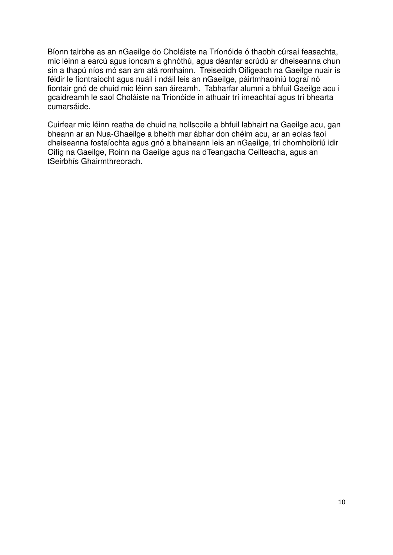Bíonn tairbhe as an nGaeilge do Choláiste na Tríonóide ó thaobh cúrsaí feasachta, mic léinn a earcú agus ioncam a ghnóthú, agus déanfar scrúdú ar dheiseanna chun sin a thapú níos mó san am atá romhainn. Treiseoidh Oifigeach na Gaeilge nuair is féidir le fiontraíocht agus nuáil i ndáil leis an nGaeilge, páirtmhaoiniú tograí nó fiontair gnó de chuid mic léinn san áireamh. Tabharfar alumni a bhfuil Gaeilge acu i gcaidreamh le saol Choláiste na Tríonóide in athuair trí imeachtaí agus trí bhearta cumarsáide.

Cuirfear mic léinn reatha de chuid na hollscoile a bhfuil labhairt na Gaeilge acu, gan bheann ar an Nua-Ghaeilge a bheith mar ábhar don chéim acu, ar an eolas faoi dheiseanna fostaíochta agus gnó a bhaineann leis an nGaeilge, trí chomhoibriú idir Oifig na Gaeilge, Roinn na Gaeilge agus na dTeangacha Ceilteacha, agus an tSeirbhís Ghairmthreorach.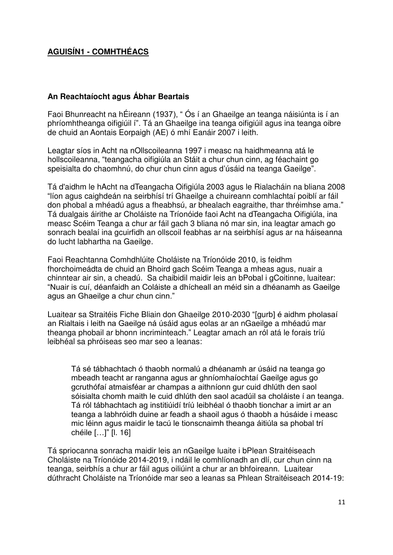#### **AGUISÍN1 - COMHTHÉACS**

#### **An Reachtaíocht agus Ábhar Beartais**

Faoi Bhunreacht na hÉireann (1937), " Ós í an Ghaeilge an teanga náisiúnta is í an phríomhtheanga oifigiúil í". Tá an Ghaeilge ina teanga oifigiúil agus ina teanga oibre de chuid an Aontais Eorpaigh (AE) ó mhí Eanáir 2007 i leith.

Leagtar síos in Acht na nOllscoileanna 1997 i measc na haidhmeanna atá le hollscoileanna, "teangacha oifigiúla an Stáit a chur chun cinn, ag féachaint go speisialta do chaomhnú, do chur chun cinn agus d'úsáid na teanga Gaeilge".

Tá d'aidhm le hAcht na dTeangacha Oifigiúla 2003 agus le Rialacháin na bliana 2008 "líon agus caighdeán na seirbhísí trí Ghaeilge a chuireann comhlachtaí poiblí ar fáil don phobal a mhéadú agus a fheabhsú, ar bhealach eagraithe, thar thréimhse ama." Tá dualgais áirithe ar Choláiste na Tríonóide faoi Acht na dTeangacha Oifigiúla, ina measc Scéim Teanga a chur ar fáil gach 3 bliana nó mar sin, ina leagtar amach go sonrach bealaí ina gcuirfidh an ollscoil feabhas ar na seirbhísí agus ar na háiseanna do lucht labhartha na Gaeilge.

Faoi Reachtanna Comhdhlúite Choláiste na Tríonóide 2010, is feidhm fhorchoimeádta de chuid an Bhoird gach Scéim Teanga a mheas agus, nuair a chinntear air sin, a cheadú. Sa chaibidil maidir leis an bPobal i gCoitinne, luaitear: "Nuair is cuí, déanfaidh an Coláiste a dhícheall an méid sin a dhéanamh as Gaeilge agus an Ghaeilge a chur chun cinn."

Luaitear sa Straitéis Fiche Bliain don Ghaeilge 2010-2030 "[gurb] é aidhm pholasaí an Rialtais i leith na Gaeilge ná úsáid agus eolas ar an nGaeilge a mhéadú mar theanga phobail ar bhonn incriminteach." Leagtar amach an ról atá le forais tríú leibhéal sa phróiseas seo mar seo a leanas:

Tá sé tábhachtach ó thaobh normalú a dhéanamh ar úsáid na teanga go mbeadh teacht ar ranganna agus ar ghníomhaíochtaí Gaeilge agus go gcruthófaí atmaisféar ar champas a aithníonn gur cuid dhlúth den saol sóisialta chomh maith le cuid dhlúth den saol acadúil sa choláiste í an teanga. Tá ról tábhachtach ag institiúidí tríú leibhéal ó thaobh tionchar a imirt ar an teanga a labhróidh duine ar feadh a shaoil agus ó thaobh a húsáide i measc mic léinn agus maidir le tacú le tionscnaimh theanga áitiúla sa phobal trí chéile […]" [l. 16]

Tá spriocanna sonracha maidir leis an nGaeilge luaite i bPlean Straitéiseach Choláiste na Tríonóide 2014-2019, i ndáil le comhlíonadh an dlí, cur chun cinn na teanga, seirbhís a chur ar fáil agus oiliúint a chur ar an bhfoireann. Luaitear dúthracht Choláiste na Tríonóide mar seo a leanas sa Phlean Straitéiseach 2014-19: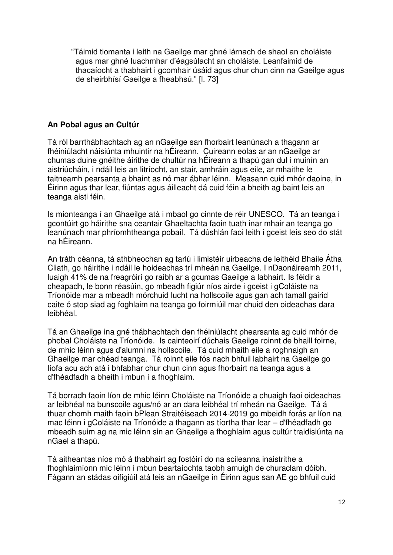"Táimid tiomanta i leith na Gaeilge mar ghné lárnach de shaol an choláiste agus mar ghné luachmhar d'éagślacht an choláiste. Leanfaimid de thacaíocht a thabhairt i gcomhair úsáid agus chur chun cinn na Gaeilge agus de sheirbhísí Gaeilge a fheabhsú." [l. 73]

#### **An Pobal agus an Cultúr**

Tá ról barrthábhachtach ag an nGaeilge san fhorbairt leanúnach a thagann ar fhéiniúlacht náisiúnta mhuintir na hÉireann. Cuireann eolas ar an nGaeilge ar chumas duine gnéithe áirithe de chultúr na hÉireann a thapú gan dul i muinín an aistriúcháin, i ndáil leis an litríocht, an stair, amhráin agus eile, ar mhaithe le taitneamh pearsanta a bhaint as nó mar ábhar léinn. Measann cuid mhór daoine, in Éirinn agus thar lear, fiúntas agus áilleacht dá cuid féin a bheith ag baint leis an teanga aisti féin.

Is mionteanga í an Ghaeilge atá i mbaol go cinnte de réir UNESCO. Tá an teanga i gcontúirt go háirithe sna ceantair Ghaeltachta faoin tuath inar mhair an teanga go leanúnach mar phríomhtheanga pobail. Tá dúshlán faoi leith i gceist leis seo do stát na hÉireann.

An tráth céanna, tá athbheochan ag tarlú i limistéir uirbeacha de leithéid Bhaile Átha Cliath, go háirithe i ndáil le hoideachas trí mheán na Gaeilge. I nDaonáireamh 2011, luaigh 41% de na freagróirí go raibh ar a gcumas Gaeilge a labhairt. Is féidir a cheapadh, le bonn réasúin, go mbeadh figiúr níos airde i gceist i gColáiste na Tríonóide mar a mbeadh mórchuid lucht na hollscoile agus gan ach tamall gairid caite ó stop siad ag foghlaim na teanga go foirmiúil mar chuid den oideachas dara leibhéal.

Tá an Ghaeilge ina gné thábhachtach den fhéiniúlacht phearsanta ag cuid mhór de phobal Choláiste na Tríonóide. Is cainteoirí dúchais Gaeilge roinnt de bhaill foirne, de mhic léinn agus d'alumni na hollscoile. Tá cuid mhaith eile a roghnaigh an Ghaeilge mar chéad teanga. Tá roinnt eile fós nach bhfuil labhairt na Gaeilge go líofa acu ach atá i bhfabhar chur chun cinn agus fhorbairt na teanga agus a d'fhéadfadh a bheith i mbun í a fhoghlaim.

Tá borradh faoin líon de mhic léinn Choláiste na Tríonóide a chuaigh faoi oideachas ar leibhéal na bunscoile agus/nó ar an dara leibhéal trí mheán na Gaeilge. Tá á thuar chomh maith faoin bPlean Straitéiseach 2014-2019 go mbeidh forás ar líon na mac léinn i gColáiste na Tríonóide a thagann as tíortha thar lear – d'fhéadfadh go mbeadh suim ag na mic léinn sin an Ghaeilge a fhoghlaim agus cultúr traidisiúnta na nGael a thapú.

Tá aitheantas níos mó á thabhairt ag fostóirí do na scileanna inaistrithe a fhoghlaimíonn mic léinn i mbun beartaíochta taobh amuigh de churaclam dóibh. Fágann an stádas oifigiúil atá leis an nGaeilge in Éirinn agus san AE go bhfuil cuid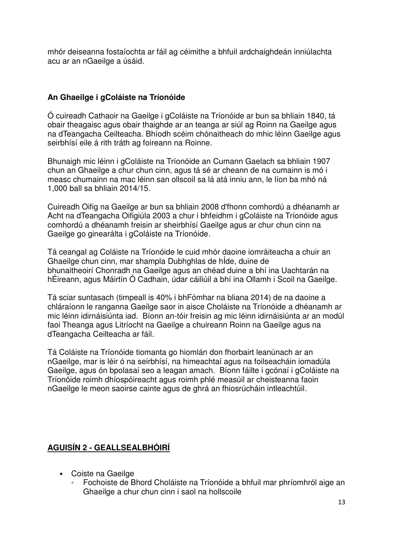mhór deiseanna fostaíochta ar fáil ag céimithe a bhfuil ardchaighdeán inniúlachta acu ar an nGaeilge a úsáid.

#### **An Ghaeilge i gColáiste na Tríonóide**

Ó cuireadh Cathaoir na Gaeilge i gColáiste na Tríonóide ar bun sa bhliain 1840, tá obair theagaisc agus obair thaighde ar an teanga ar siúl ag Roinn na Gaeilge agus na dTeangacha Ceilteacha. Bhíodh scéim chónaitheach do mhic léinn Gaeilge agus seirbhísí eile á rith tráth ag foireann na Roinne.

Bhunaigh mic léinn i gColáiste na Tríonóide an Cumann Gaelach sa bhliain 1907 chun an Ghaeilge a chur chun cinn, agus tá sé ar cheann de na cumainn is mó i measc chumainn na mac léinn san ollscoil sa lá atá inniu ann, le líon ba mhó ná 1,000 ball sa bhliain 2014/15.

Cuireadh Oifig na Gaeilge ar bun sa bhliain 2008 d'fhonn comhordú a dhéanamh ar Acht na dTeangacha Oifigiúla 2003 a chur i bhfeidhm i gColáiste na Tríonóide agus comhordú a dhéanamh freisin ar sheirbhísí Gaeilge agus ar chur chun cinn na Gaeilge go ginearálta i gColáiste na Tríonóide.

Tá ceangal ag Coláiste na Tríonóide le cuid mhór daoine iomráiteacha a chuir an Ghaeilge chun cinn, mar shampla Dubhghlas de hÍde, duine de bhunaitheoirí Chonradh na Gaeilge agus an chéad duine a bhí ina Uachtarán na hÉireann, agus Máirtín Ó Cadhain, údar cáiliúil a bhí ina Ollamh i Scoil na Gaeilge.

Tá sciar suntasach (timpeall is 40% i bhFómhar na bliana 2014) de na daoine a chláraíonn le ranganna Gaeilge saor in aisce Choláiste na Tríonóide a dhéanamh ar mic léinn idirnáisiúnta iad. Bíonn an-tóir freisin ag mic léinn idirnáisiúnta ar an modúl faoi Theanga agus Litríocht na Gaeilge a chuireann Roinn na Gaeilge agus na dTeangacha Ceilteacha ar fáil.

Tá Coláiste na Tríonóide tiomanta go hiomlán don fhorbairt leanúnach ar an nGaeilge, mar is léir ó na seirbhísí, na himeachtaí agus na foilseacháin iomadúla Gaeilge, agus ón bpolasaí seo a leagan amach. Bíonn fáilte i gcónaí i gColáiste na Tríonóide roimh dhíospóireacht agus roimh phlé measúil ar cheisteanna faoin nGaeilge le meon saoirse cainte agus de ghrá an fhiosrúcháin intleachtúil.

## **AGUISÍN 2 - GEALLSEALBHÓIRÍ**

- Coiste na Gaeilge
	- Fochoiste de Bhord Choláiste na Tríonóide a bhfuil mar phríomhról aige an Ghaeilge a chur chun cinn i saol na hollscoile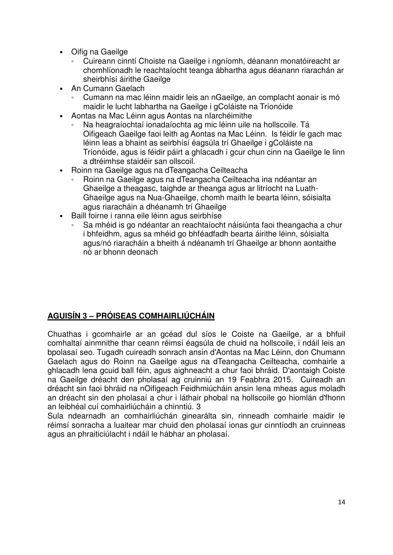- Oifig na Gaeilge
	- Cuireann cinntí Choiste na Gaeilge i ngníomh, déanann monatóireacht ar chomhlíonadh le reachtaíocht teanga ábhartha agus déanann riarachán ar sheirbhísí áirithe Gaeilge
- An Cumann Gaelach
	- Cumann na mac léinn maidir leis an nGaeilge, an complacht aonair is mó maidir le lucht labhartha na Gaeilge i gColáiste na Tríonóide
- Aontas na Mac Léinn agus Aontas na nIarchéimithe
	- Na heagraíochtaí ionadaíochta ag mic léinn uile na hollscoile. Tá Oifigeach Gaeilge faoi leith ag Aontas na Mac Léinn. Is féidir le gach mac léinn leas a bhaint as seirbhísí éagsúla trí Ghaeilge i gColáiste na Tríonóide, agus is féidir páirt a ghlacadh i gcur chun cinn na Gaeilge le linn a dtréimhse staidéir san ollscoil.
- Roinn na Gaeilge agus na dTeangacha Ceilteacha
	- Roinn na Gaeilge agus na dTeangacha Ceilteacha ina ndéantar an Ghaeilge a theagasc, taighde ar theanga agus ar litríocht na Luath-Ghaeilge agus na Nua-Ghaeilge, chomh maith le bearta léinn, sóisialta agus riaracháin a dhéanamh trí Ghaeilge
- Baill foirne i ranna eile léinn agus seirbhíse
	- Sa mhéid is go ndéantar an reachtaíocht náisiúnta faoi theangacha a chur i bhfeidhm, agus sa mhéid go bhféadfadh bearta áirithe léinn, sóisialta agus/nó riaracháin a bheith á ndéanamh trí Ghaeilge ar bhonn aontaithe nó ar bhonn deonach

## **AGUISÍN 3 – PRÓISEAS COMHAIRLIÚCHÁIN**

Chuathas i gcomhairle ar an gcéad dul síos le Coiste na Gaeilge, ar a bhfuil comhaltaí ainmnithe thar ceann réimsí éagsúla de chuid na hollscoile, i ndáil leis an bpolasaí seo. Tugadh cuireadh sonrach ansin d'Aontas na Mac Léinn, don Chumann Gaelach agus do Roinn na Gaeilge agus na dTeangacha Ceilteacha, comhairle a ghlacadh lena gcuid ball féin, agus aighneacht a chur faoi bhráid. D'aontaigh Coiste na Gaeilge dréacht den pholasaí ag cruinniú an 19 Feabhra 2015. Cuireadh an dréacht sin faoi bhráid na nOifigeach Feidhmiúcháin ansin lena mheas agus moladh an dréacht sin den pholasaí a chur i láthair phobal na hollscoile go hiomlán d'fhonn an leibhéal cuí comhairliúcháin a chinntiú. 3

Sula ndearnadh an comhairliúchán ginearálta sin, rinneadh comhairle maidir le réimsí sonracha a luaitear mar chuid den pholasaí ionas gur cinntíodh an cruinneas agus an phraiticiúlacht i ndáil le hábhar an pholasaí.